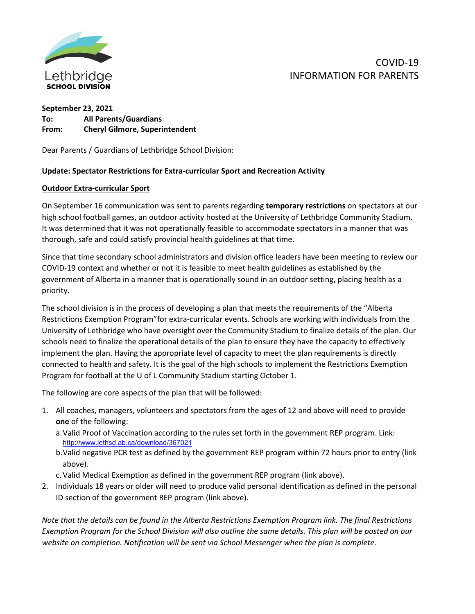

# COVID-19 INFORMATION FOR PARENTS

## **September 23, 2021 To: All Parents/Guardians From: Cheryl Gilmore, Superintendent**

Dear Parents / Guardians of Lethbridge School Division:

#### **Update: Spectator Restrictions for Extra-curricular Sport and Recreation Activity**

#### **Outdoor Extra-curricular Sport**

On September 16 communication was sent to parents regarding **temporary restrictions** on spectators at our high school football games, an outdoor activity hosted at the University of Lethbridge Community Stadium. It was determined that it was not operationally feasible to accommodate spectators in a manner that was thorough, safe and could satisfy provincial health guidelines at that time.

Since that time secondary school administrators and division office leaders have been meeting to review our COVID-19 context and whether or not it is feasible to meet health guidelines as established by the government of Alberta in a manner that is operationally sound in an outdoor setting, placing health as a priority.

The school division is in the process of developing a plan that meets the requirements of the "Alberta Restrictions Exemption Program"for extra-curricular events. Schools are working with individuals from the University of Lethbridge who have oversight over the Community Stadium to finalize details of the plan. Our schools need to finalize the operational details of the plan to ensure they have the capacity to effectively implement the plan. Having the appropriate level of capacity to meet the plan requirements is directly connected to health and safety. It is the goal of the high schools to implement the Restrictions Exemption Program for football at the U of L Community Stadium starting October 1.

The following are core aspects of the plan that will be followed:

- 1. All coaches, managers, volunteers and spectators from the ages of 12 and above will need to provide **one** of the following:
	- a.Valid Proof of Vaccination according to the rules set forth in the government REP program. Link: <http://www.lethsd.ab.ca/download/367021>
	- b.Valid negative PCR test as defined by the government REP program within 72 hours prior to entry (link above).
	- c.Valid Medical Exemption as defined in the government REP program (link above).
- 2. Individuals 18 years or older will need to produce valid personal identification as defined in the personal ID section of the government REP program (link above).

*Note that the details can be found in the Alberta Restrictions Exemption Program link. The final Restrictions Exemption Program for the School Division will also outline the same details. This plan will be posted on our website on completion. Notification will be sent via School Messenger when the plan is complete.*